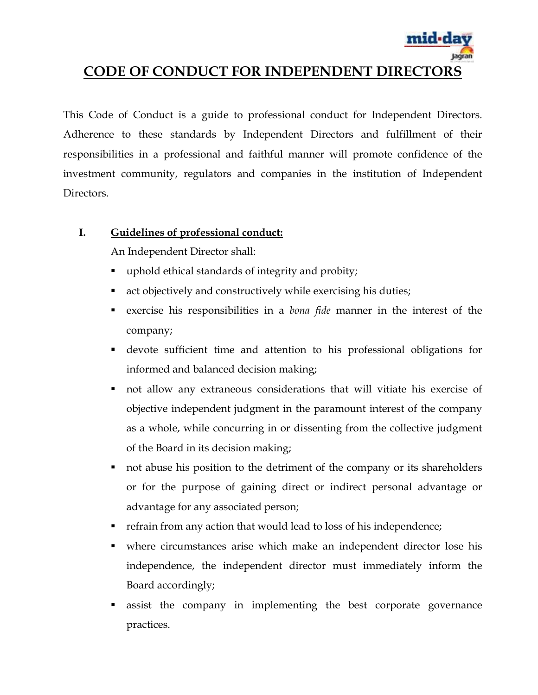

# **CODE OF CONDUCT FOR INDEPENDENT DIRECTORS**

This Code of Conduct is a guide to professional conduct for Independent Directors. Adherence to these standards by Independent Directors and fulfillment of their responsibilities in a professional and faithful manner will promote confidence of the investment community, regulators and companies in the institution of Independent Directors.

### **I. Guidelines of professional conduct:**

An Independent Director shall:

- uphold ethical standards of integrity and probity;
- act objectively and constructively while exercising his duties;
- exercise his responsibilities in a *bona fide* manner in the interest of the company;
- devote sufficient time and attention to his professional obligations for informed and balanced decision making;
- not allow any extraneous considerations that will vitiate his exercise of objective independent judgment in the paramount interest of the company as a whole, while concurring in or dissenting from the collective judgment of the Board in its decision making;
- not abuse his position to the detriment of the company or its shareholders or for the purpose of gaining direct or indirect personal advantage or advantage for any associated person;
- refrain from any action that would lead to loss of his independence;
- where circumstances arise which make an independent director lose his independence, the independent director must immediately inform the Board accordingly;
- assist the company in implementing the best corporate governance practices.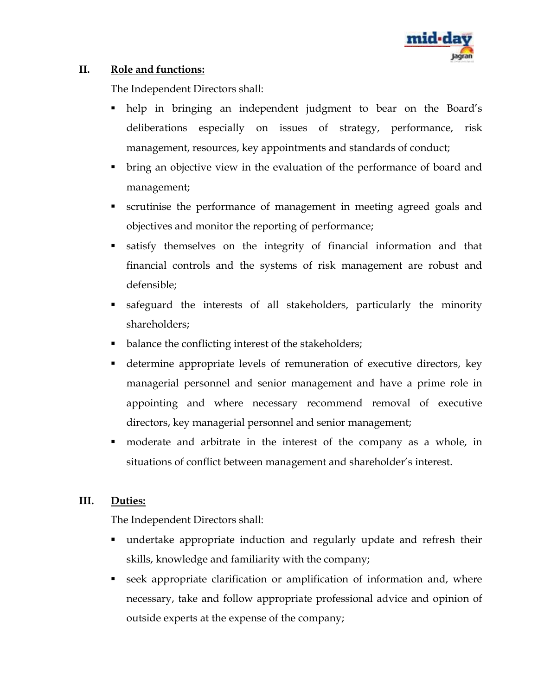

## **II. Role and functions:**

The Independent Directors shall:

- help in bringing an independent judgment to bear on the Board's deliberations especially on issues of strategy, performance, risk management, resources, key appointments and standards of conduct;
- bring an objective view in the evaluation of the performance of board and management;
- scrutinise the performance of management in meeting agreed goals and objectives and monitor the reporting of performance;
- satisfy themselves on the integrity of financial information and that financial controls and the systems of risk management are robust and defensible;
- safeguard the interests of all stakeholders, particularly the minority shareholders;
- balance the conflicting interest of the stakeholders;
- determine appropriate levels of remuneration of executive directors, key managerial personnel and senior management and have a prime role in appointing and where necessary recommend removal of executive directors, key managerial personnel and senior management;
- moderate and arbitrate in the interest of the company as a whole, in situations of conflict between management and shareholder's interest.

# **III. Duties:**

The Independent Directors shall:

- undertake appropriate induction and regularly update and refresh their skills, knowledge and familiarity with the company;
- seek appropriate clarification or amplification of information and, where necessary, take and follow appropriate professional advice and opinion of outside experts at the expense of the company;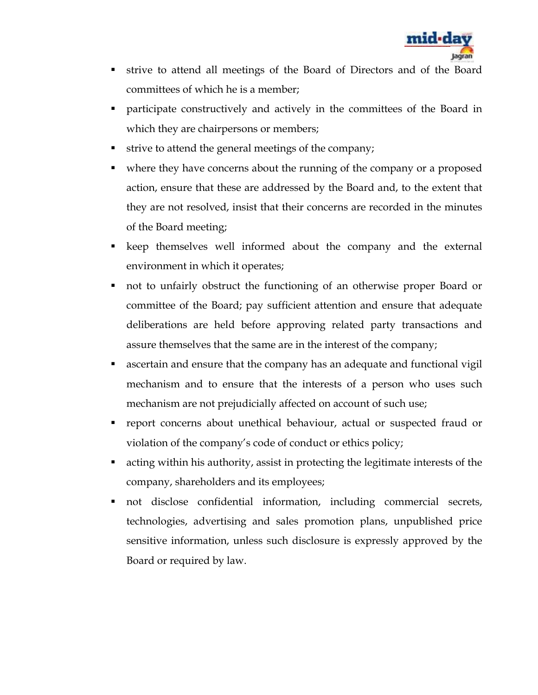

- strive to attend all meetings of the Board of Directors and of the Board committees of which he is a member;
- participate constructively and actively in the committees of the Board in which they are chairpersons or members;
- strive to attend the general meetings of the company;
- where they have concerns about the running of the company or a proposed action, ensure that these are addressed by the Board and, to the extent that they are not resolved, insist that their concerns are recorded in the minutes of the Board meeting;
- keep themselves well informed about the company and the external environment in which it operates;
- not to unfairly obstruct the functioning of an otherwise proper Board or committee of the Board; pay sufficient attention and ensure that adequate deliberations are held before approving related party transactions and assure themselves that the same are in the interest of the company;
- ascertain and ensure that the company has an adequate and functional vigil mechanism and to ensure that the interests of a person who uses such mechanism are not prejudicially affected on account of such use;
- report concerns about unethical behaviour, actual or suspected fraud or violation of the company's code of conduct or ethics policy;
- acting within his authority, assist in protecting the legitimate interests of the company, shareholders and its employees;
- not disclose confidential information, including commercial secrets, technologies, advertising and sales promotion plans, unpublished price sensitive information, unless such disclosure is expressly approved by the Board or required by law.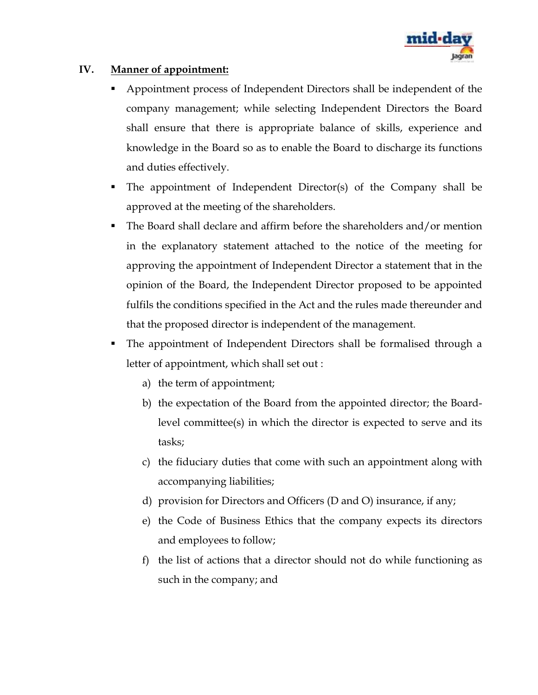

### **IV. Manner of appointment:**

- Appointment process of Independent Directors shall be independent of the company management; while selecting Independent Directors the Board shall ensure that there is appropriate balance of skills, experience and knowledge in the Board so as to enable the Board to discharge its functions and duties effectively.
- The appointment of Independent Director(s) of the Company shall be approved at the meeting of the shareholders.
- The Board shall declare and affirm before the shareholders and/or mention in the explanatory statement attached to the notice of the meeting for approving the appointment of Independent Director a statement that in the opinion of the Board, the Independent Director proposed to be appointed fulfils the conditions specified in the Act and the rules made thereunder and that the proposed director is independent of the management.
- The appointment of Independent Directors shall be formalised through a letter of appointment, which shall set out :
	- a) the term of appointment;
	- b) the expectation of the Board from the appointed director; the Boardlevel committee(s) in which the director is expected to serve and its tasks;
	- c) the fiduciary duties that come with such an appointment along with accompanying liabilities;
	- d) provision for Directors and Officers (D and O) insurance, if any;
	- e) the Code of Business Ethics that the company expects its directors and employees to follow;
	- f) the list of actions that a director should not do while functioning as such in the company; and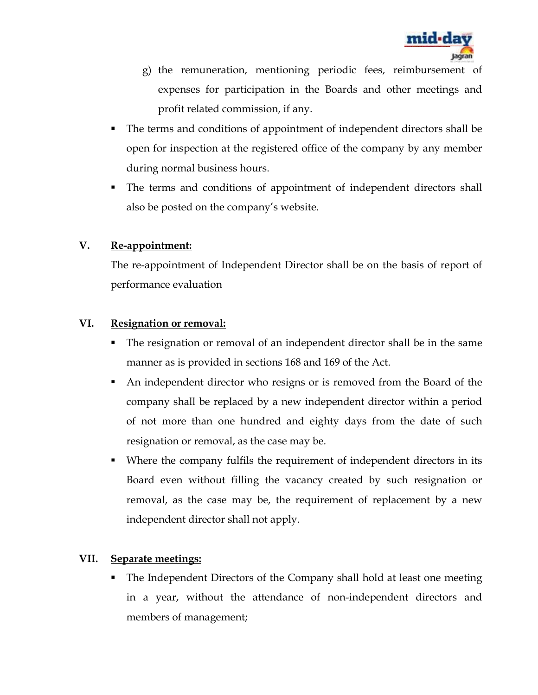

- g) the remuneration, mentioning periodic fees, reimbursement of expenses for participation in the Boards and other meetings and profit related commission, if any.
- The terms and conditions of appointment of independent directors shall be open for inspection at the registered office of the company by any member during normal business hours.
- The terms and conditions of appointment of independent directors shall also be posted on the company's website.

# **V. Re-appointment:**

The re-appointment of Independent Director shall be on the basis of report of performance evaluation

#### **VI. Resignation or removal:**

- The resignation or removal of an independent director shall be in the same manner as is provided in sections 168 and 169 of the Act.
- An independent director who resigns or is removed from the Board of the company shall be replaced by a new independent director within a period of not more than one hundred and eighty days from the date of such resignation or removal, as the case may be.
- Where the company fulfils the requirement of independent directors in its Board even without filling the vacancy created by such resignation or removal, as the case may be, the requirement of replacement by a new independent director shall not apply.

#### **VII. Separate meetings:**

• The Independent Directors of the Company shall hold at least one meeting in a year, without the attendance of non-independent directors and members of management;